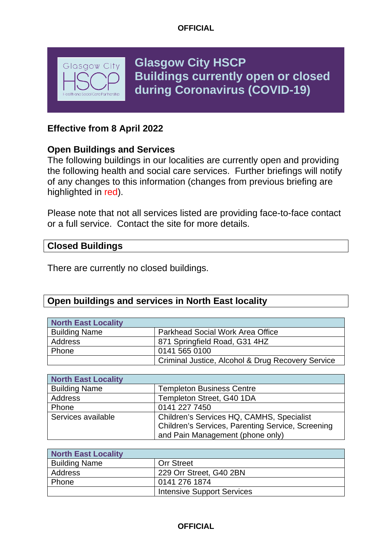

**Glasgow City HSCP Buildings currently open or closed during Coronavirus (COVID-19)**

# **Effective from 8 April 2022**

## **Open Buildings and Services**

The following buildings in our localities are currently open and providing the following health and social care services. Further briefings will notify of any changes to this information (changes from previous briefing are highlighted in red).

Please note that not all services listed are providing face-to-face contact or a full service. Contact the site for more details.

### **Closed Buildings**

There are currently no closed buildings.

## **Open buildings and services in North East locality**

| North East Locality  |                                                   |
|----------------------|---------------------------------------------------|
| <b>Building Name</b> | <b>Parkhead Social Work Area Office</b>           |
| Address              | 871 Springfield Road, G31 4HZ                     |
| Phone                | 0141 565 0100                                     |
|                      | Criminal Justice, Alcohol & Drug Recovery Service |

| North East Locality  |                                                   |
|----------------------|---------------------------------------------------|
| <b>Building Name</b> | <b>Templeton Business Centre</b>                  |
| Address              | Templeton Street, G40 1DA                         |
| Phone                | 0141 227 7450                                     |
| Services available   | Children's Services HQ, CAMHS, Specialist         |
|                      | Children's Services, Parenting Service, Screening |
|                      | and Pain Management (phone only)                  |

| North East Locality  |                                   |
|----------------------|-----------------------------------|
| <b>Building Name</b> | <b>Orr Street</b>                 |
| Address              | 229 Orr Street, G40 2BN           |
| Phone                | 0141 276 1874                     |
|                      | <b>Intensive Support Services</b> |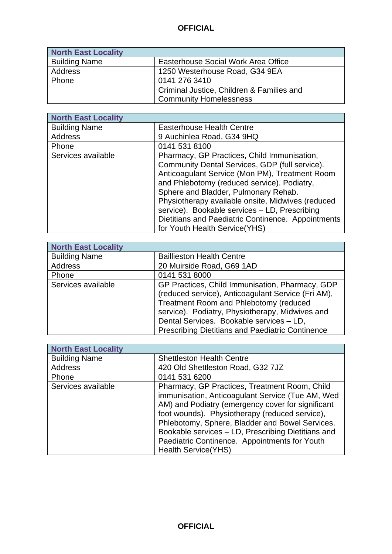| <b>North East Locality</b> |                                           |
|----------------------------|-------------------------------------------|
| <b>Building Name</b>       | Easterhouse Social Work Area Office       |
| Address                    | 1250 Westerhouse Road, G34 9EA            |
| Phone                      | 0141 276 3410                             |
|                            | Criminal Justice, Children & Families and |
|                            | <b>Community Homelessness</b>             |

| <b>North East Locality</b> |                                                                                                                                                                                                                                                                                                                                                                                                                                      |
|----------------------------|--------------------------------------------------------------------------------------------------------------------------------------------------------------------------------------------------------------------------------------------------------------------------------------------------------------------------------------------------------------------------------------------------------------------------------------|
| <b>Building Name</b>       | <b>Easterhouse Health Centre</b>                                                                                                                                                                                                                                                                                                                                                                                                     |
| <b>Address</b>             | 9 Auchinlea Road, G34 9HQ                                                                                                                                                                                                                                                                                                                                                                                                            |
| Phone                      | 0141 531 8100                                                                                                                                                                                                                                                                                                                                                                                                                        |
| Services available         | Pharmacy, GP Practices, Child Immunisation,<br>Community Dental Services, GDP (full service).<br>Anticoagulant Service (Mon PM), Treatment Room<br>and Phlebotomy (reduced service). Podiatry,<br>Sphere and Bladder, Pulmonary Rehab.<br>Physiotherapy available onsite, Midwives (reduced<br>service). Bookable services - LD, Prescribing<br>Dietitians and Paediatric Continence. Appointments<br>for Youth Health Service (YHS) |

| <b>North East Locality</b> |                                                                                                                                                                                                                                                                                                    |
|----------------------------|----------------------------------------------------------------------------------------------------------------------------------------------------------------------------------------------------------------------------------------------------------------------------------------------------|
| <b>Building Name</b>       | <b>Baillieston Health Centre</b>                                                                                                                                                                                                                                                                   |
| Address                    | 20 Muirside Road, G69 1AD                                                                                                                                                                                                                                                                          |
| Phone                      | 0141 531 8000                                                                                                                                                                                                                                                                                      |
| Services available         | GP Practices, Child Immunisation, Pharmacy, GDP<br>(reduced service), Anticoagulant Service (Fri AM),<br>Treatment Room and Phlebotomy (reduced<br>service). Podiatry, Physiotherapy, Midwives and<br>Dental Services. Bookable services - LD,<br>Prescribing Dietitians and Paediatric Continence |

| <b>North East Locality</b> |                                                                                                                                                                                                                                                                                                                                                                                                   |
|----------------------------|---------------------------------------------------------------------------------------------------------------------------------------------------------------------------------------------------------------------------------------------------------------------------------------------------------------------------------------------------------------------------------------------------|
| <b>Building Name</b>       | <b>Shettleston Health Centre</b>                                                                                                                                                                                                                                                                                                                                                                  |
| Address                    | 420 Old Shettleston Road, G32 7JZ                                                                                                                                                                                                                                                                                                                                                                 |
| Phone                      | 0141 531 6200                                                                                                                                                                                                                                                                                                                                                                                     |
| Services available         | Pharmacy, GP Practices, Treatment Room, Child<br>immunisation, Anticoagulant Service (Tue AM, Wed<br>AM) and Podiatry (emergency cover for significant<br>foot wounds). Physiotherapy (reduced service),<br>Phlebotomy, Sphere, Bladder and Bowel Services.<br>Bookable services - LD, Prescribing Dietitians and<br>Paediatric Continence. Appointments for Youth<br><b>Health Service (YHS)</b> |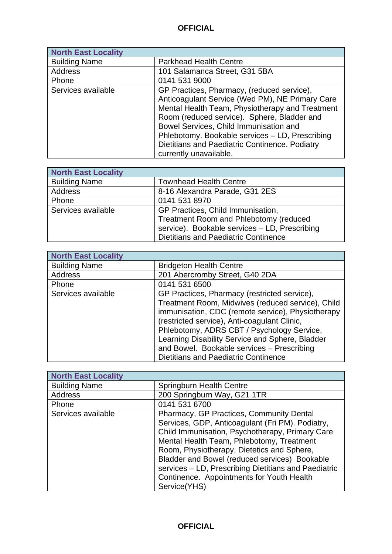| <b>North East Locality</b> |                                                                                                                                                                                                 |
|----------------------------|-------------------------------------------------------------------------------------------------------------------------------------------------------------------------------------------------|
| <b>Building Name</b>       | <b>Parkhead Health Centre</b>                                                                                                                                                                   |
| <b>Address</b>             | 101 Salamanca Street, G31 5BA                                                                                                                                                                   |
| Phone                      | 0141 531 9000                                                                                                                                                                                   |
| Services available         | GP Practices, Pharmacy, (reduced service),<br>Anticoagulant Service (Wed PM), NE Primary Care<br>Mental Health Team, Physiotherapy and Treatment<br>Room (reduced service). Sphere, Bladder and |
|                            | Bowel Services, Child Immunisation and<br>Phlebotomy. Bookable services - LD, Prescribing<br>Dietitians and Paediatric Continence. Podiatry<br>currently unavailable.                           |

| <b>North East Locality</b> |                                               |
|----------------------------|-----------------------------------------------|
| <b>Building Name</b>       | <b>Townhead Health Centre</b>                 |
| Address                    | 8-16 Alexandra Parade, G31 2ES                |
| Phone                      | 0141 531 8970                                 |
| Services available         | GP Practices, Child Immunisation,             |
|                            | Treatment Room and Phlebotomy (reduced        |
|                            | service). Bookable services - LD, Prescribing |
|                            | <b>Dietitians and Paediatric Continence</b>   |

| <b>North East Locality</b> |                                                   |
|----------------------------|---------------------------------------------------|
| <b>Building Name</b>       | <b>Bridgeton Health Centre</b>                    |
| <b>Address</b>             | 201 Abercromby Street, G40 2DA                    |
| Phone                      | 0141 531 6500                                     |
| Services available         | GP Practices, Pharmacy (restricted service),      |
|                            | Treatment Room, Midwives (reduced service), Child |
|                            | immunisation, CDC (remote service), Physiotherapy |
|                            | (restricted service), Anti-coagulant Clinic,      |
|                            | Phlebotomy, ADRS CBT / Psychology Service,        |
|                            | Learning Disability Service and Sphere, Bladder   |
|                            | and Bowel. Bookable services - Prescribing        |
|                            | Dietitians and Paediatric Continence              |

| <b>North East Locality</b> |                                                                                                                                                                                                                                                                                                                                                                                                                  |
|----------------------------|------------------------------------------------------------------------------------------------------------------------------------------------------------------------------------------------------------------------------------------------------------------------------------------------------------------------------------------------------------------------------------------------------------------|
| <b>Building Name</b>       | Springburn Health Centre                                                                                                                                                                                                                                                                                                                                                                                         |
| <b>Address</b>             | 200 Springburn Way, G21 1TR                                                                                                                                                                                                                                                                                                                                                                                      |
| Phone                      | 0141 531 6700                                                                                                                                                                                                                                                                                                                                                                                                    |
| Services available         | Pharmacy, GP Practices, Community Dental<br>Services, GDP, Anticoagulant (Fri PM). Podiatry,<br>Child Immunisation, Psychotherapy, Primary Care<br>Mental Health Team, Phlebotomy, Treatment<br>Room, Physiotherapy, Dietetics and Sphere,<br>Bladder and Bowel (reduced services) Bookable<br>services - LD, Prescribing Dietitians and Paediatric<br>Continence. Appointments for Youth Health<br>Service(YHS) |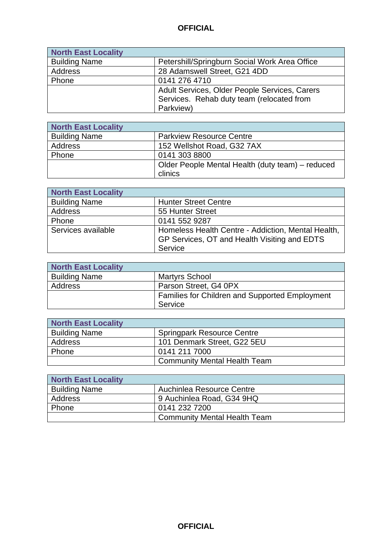| <b>North East Locality</b> |                                               |
|----------------------------|-----------------------------------------------|
| <b>Building Name</b>       | Petershill/Springburn Social Work Area Office |
| Address                    | 28 Adamswell Street, G21 4DD                  |
| Phone                      | 0141 276 4710                                 |
|                            | Adult Services, Older People Services, Carers |
|                            | Services. Rehab duty team (relocated from     |
|                            | Parkview)                                     |

| <b>North East Locality</b> |                                                  |
|----------------------------|--------------------------------------------------|
| <b>Building Name</b>       | <b>Parkview Resource Centre</b>                  |
| Address                    | 152 Wellshot Road, G32 7AX                       |
| Phone                      | 0141 303 8800                                    |
|                            | Older People Mental Health (duty team) – reduced |
|                            | clinics                                          |

| <b>North East Locality</b> |                                                                                                    |
|----------------------------|----------------------------------------------------------------------------------------------------|
| <b>Building Name</b>       | <b>Hunter Street Centre</b>                                                                        |
| Address                    | 55 Hunter Street                                                                                   |
| Phone                      | 0141 552 9287                                                                                      |
| Services available         | Homeless Health Centre - Addiction, Mental Health,<br>GP Services, OT and Health Visiting and EDTS |
|                            | Service                                                                                            |

| <b>North East Locality</b> |                                                |
|----------------------------|------------------------------------------------|
| <b>Building Name</b>       | <b>Martyrs School</b>                          |
| Address                    | Parson Street, G4 0PX                          |
|                            | Families for Children and Supported Employment |
|                            | Service                                        |

| North East Locality  |                                     |
|----------------------|-------------------------------------|
| <b>Building Name</b> | <b>Springpark Resource Centre</b>   |
| Address              | 101 Denmark Street, G22 5EU         |
| Phone                | 0141 211 7000                       |
|                      | <b>Community Mental Health Team</b> |

| North East Locality  |                                     |
|----------------------|-------------------------------------|
| <b>Building Name</b> | Auchinlea Resource Centre           |
| Address              | 9 Auchinlea Road, G34 9HQ           |
| Phone                | 0141 232 7200                       |
|                      | <b>Community Mental Health Team</b> |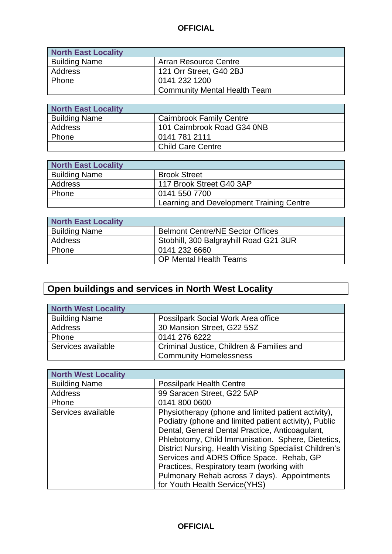| <b>North East Locality</b> |                                     |
|----------------------------|-------------------------------------|
| <b>Building Name</b>       | Arran Resource Centre               |
| Address                    | 121 Orr Street, G40 2BJ             |
| Phone                      | 0141 232 1200                       |
|                            | <b>Community Mental Health Team</b> |

| <b>North East Locality</b> |                                 |
|----------------------------|---------------------------------|
| <b>Building Name</b>       | <b>Cairnbrook Family Centre</b> |
| Address                    | 101 Cairnbrook Road G34 0NB     |
| Phone                      | 0141 781 2111                   |
|                            | <b>Child Care Centre</b>        |

| <b>North East Locality</b> |                                          |
|----------------------------|------------------------------------------|
| <b>Building Name</b>       | <b>Brook Street</b>                      |
| Address                    | 117 Brook Street G40 3AP                 |
| Phone                      | 0141 550 7700                            |
|                            | Learning and Development Training Centre |

| North East Locality  |                                         |
|----------------------|-----------------------------------------|
| <b>Building Name</b> | <b>Belmont Centre/NE Sector Offices</b> |
| Address              | Stobhill, 300 Balgrayhill Road G21 3UR  |
| Phone                | 0141 232 6660                           |
|                      | <b>OP Mental Health Teams</b>           |

# **Open buildings and services in North West Locality**

| <b>North West Locality</b> |                                           |
|----------------------------|-------------------------------------------|
| <b>Building Name</b>       | Possilpark Social Work Area office        |
| Address                    | 30 Mansion Street, G22 5SZ                |
| Phone                      | 0141 276 6222                             |
| Services available         | Criminal Justice, Children & Families and |
|                            | <b>Community Homelessness</b>             |

| <b>North West Locality</b> |                                                                                                                                                                                                                                                                                                                                                                                                                                                              |
|----------------------------|--------------------------------------------------------------------------------------------------------------------------------------------------------------------------------------------------------------------------------------------------------------------------------------------------------------------------------------------------------------------------------------------------------------------------------------------------------------|
| <b>Building Name</b>       | <b>Possilpark Health Centre</b>                                                                                                                                                                                                                                                                                                                                                                                                                              |
| Address                    | 99 Saracen Street, G22 5AP                                                                                                                                                                                                                                                                                                                                                                                                                                   |
| Phone                      | 0141 800 0600                                                                                                                                                                                                                                                                                                                                                                                                                                                |
| Services available         | Physiotherapy (phone and limited patient activity),<br>Podiatry (phone and limited patient activity), Public<br>Dental, General Dental Practice, Anticoagulant,<br>Phlebotomy, Child Immunisation. Sphere, Dietetics,<br>District Nursing, Health Visiting Specialist Children's<br>Services and ADRS Office Space. Rehab, GP<br>Practices, Respiratory team (working with<br>Pulmonary Rehab across 7 days). Appointments<br>for Youth Health Service (YHS) |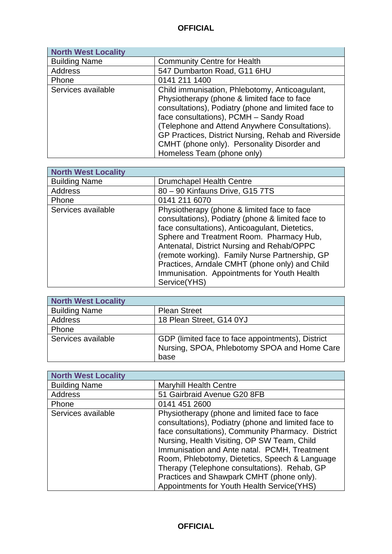| <b>North West Locality</b> |                                                                                                                                                                                                                                                                                                                                                        |
|----------------------------|--------------------------------------------------------------------------------------------------------------------------------------------------------------------------------------------------------------------------------------------------------------------------------------------------------------------------------------------------------|
| <b>Building Name</b>       | <b>Community Centre for Health</b>                                                                                                                                                                                                                                                                                                                     |
| Address                    | 547 Dumbarton Road, G11 6HU                                                                                                                                                                                                                                                                                                                            |
| Phone                      | 0141 211 1400                                                                                                                                                                                                                                                                                                                                          |
| Services available         | Child immunisation, Phlebotomy, Anticoagulant,<br>Physiotherapy (phone & limited face to face<br>consultations), Podiatry (phone and limited face to<br>face consultations), PCMH - Sandy Road<br>(Telephone and Attend Anywhere Consultations).<br>GP Practices, District Nursing, Rehab and Riverside<br>CMHT (phone only). Personality Disorder and |
|                            | Homeless Team (phone only)                                                                                                                                                                                                                                                                                                                             |

| <b>North West Locality</b> |                                                                                                                                                                                                                                                                                                                                                                                                                 |
|----------------------------|-----------------------------------------------------------------------------------------------------------------------------------------------------------------------------------------------------------------------------------------------------------------------------------------------------------------------------------------------------------------------------------------------------------------|
| <b>Building Name</b>       | <b>Drumchapel Health Centre</b>                                                                                                                                                                                                                                                                                                                                                                                 |
| <b>Address</b>             | 80 - 90 Kinfauns Drive, G15 7TS                                                                                                                                                                                                                                                                                                                                                                                 |
| Phone                      | 0141 211 6070                                                                                                                                                                                                                                                                                                                                                                                                   |
| Services available         | Physiotherapy (phone & limited face to face<br>consultations), Podiatry (phone & limited face to<br>face consultations), Anticoagulant, Dietetics,<br>Sphere and Treatment Room. Pharmacy Hub,<br>Antenatal, District Nursing and Rehab/OPPC<br>(remote working). Family Nurse Partnership, GP<br>Practices, Arndale CMHT (phone only) and Child<br>Immunisation. Appointments for Youth Health<br>Service(YHS) |

| <b>North West Locality</b> |                                                                                                           |
|----------------------------|-----------------------------------------------------------------------------------------------------------|
| <b>Building Name</b>       | <b>Plean Street</b>                                                                                       |
| Address                    | 18 Plean Street, G14 0YJ                                                                                  |
| Phone                      |                                                                                                           |
| Services available         | GDP (limited face to face appointments), District<br>Nursing, SPOA, Phlebotomy SPOA and Home Care<br>base |

| <b>North West Locality</b> |                                                                                                                                                                                                                                                                                                                                                                                                                                                       |
|----------------------------|-------------------------------------------------------------------------------------------------------------------------------------------------------------------------------------------------------------------------------------------------------------------------------------------------------------------------------------------------------------------------------------------------------------------------------------------------------|
| <b>Building Name</b>       | <b>Maryhill Health Centre</b>                                                                                                                                                                                                                                                                                                                                                                                                                         |
| Address                    | 51 Gairbraid Avenue G20 8FB                                                                                                                                                                                                                                                                                                                                                                                                                           |
| Phone                      | 0141 451 2600                                                                                                                                                                                                                                                                                                                                                                                                                                         |
| Services available         | Physiotherapy (phone and limited face to face<br>consultations), Podiatry (phone and limited face to<br>face consultations), Community Pharmacy. District<br>Nursing, Health Visiting, OP SW Team, Child<br>Immunisation and Ante natal. PCMH, Treatment<br>Room, Phlebotomy, Dietetics, Speech & Language<br>Therapy (Telephone consultations). Rehab, GP<br>Practices and Shawpark CMHT (phone only).<br>Appointments for Youth Health Service(YHS) |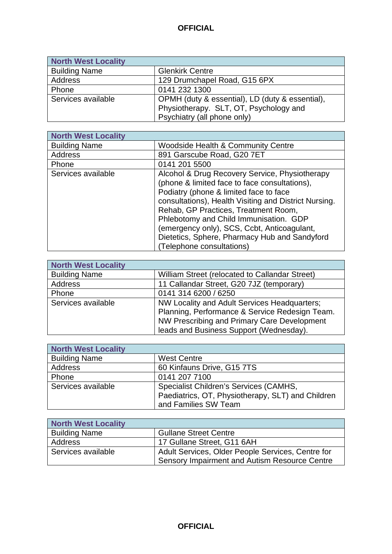| <b>North West Locality</b> |                                                 |
|----------------------------|-------------------------------------------------|
| <b>Building Name</b>       | <b>Glenkirk Centre</b>                          |
| Address                    | 129 Drumchapel Road, G15 6PX                    |
| Phone                      | 0141 232 1300                                   |
| Services available         | OPMH (duty & essential), LD (duty & essential), |
|                            | Physiotherapy. SLT, OT, Psychology and          |
|                            | Psychiatry (all phone only)                     |

 $\mathbf{r}$ 

| <b>North West Locality</b> |                                                       |
|----------------------------|-------------------------------------------------------|
| <b>Building Name</b>       | <b>Woodside Health &amp; Community Centre</b>         |
| Address                    | 891 Garscube Road, G20 7ET                            |
| Phone                      | 0141 201 5500                                         |
| Services available         | Alcohol & Drug Recovery Service, Physiotherapy        |
|                            | (phone & limited face to face consultations),         |
|                            | Podiatry (phone & limited face to face                |
|                            | consultations), Health Visiting and District Nursing. |
|                            | Rehab, GP Practices, Treatment Room,                  |
|                            | Phlebotomy and Child Immunisation. GDP                |
|                            | (emergency only), SCS, Ccbt, Anticoagulant,           |
|                            | Dietetics, Sphere, Pharmacy Hub and Sandyford         |
|                            | (Telephone consultations)                             |

| <b>North West Locality</b> |                                                                                                                                                                                          |
|----------------------------|------------------------------------------------------------------------------------------------------------------------------------------------------------------------------------------|
| <b>Building Name</b>       | William Street (relocated to Callandar Street)                                                                                                                                           |
| <b>Address</b>             | 11 Callandar Street, G20 7JZ (temporary)                                                                                                                                                 |
| Phone                      | 0141 314 6200 / 6250                                                                                                                                                                     |
| Services available         | NW Locality and Adult Services Headquarters;<br>Planning, Performance & Service Redesign Team.<br>NW Prescribing and Primary Care Development<br>leads and Business Support (Wednesday). |

| <b>North West Locality</b> |                                                   |
|----------------------------|---------------------------------------------------|
| <b>Building Name</b>       | <b>West Centre</b>                                |
| Address                    | 60 Kinfauns Drive, G15 7TS                        |
| Phone                      | 0141 207 7100                                     |
| Services available         | Specialist Children's Services (CAMHS,            |
|                            | Paediatrics, OT, Physiotherapy, SLT) and Children |
|                            | and Families SW Team                              |

| <b>North West Locality</b> |                                                   |
|----------------------------|---------------------------------------------------|
| <b>Building Name</b>       | <b>Gullane Street Centre</b>                      |
| Address                    | 17 Gullane Street, G11 6AH                        |
| Services available         | Adult Services, Older People Services, Centre for |
|                            | Sensory Impairment and Autism Resource Centre     |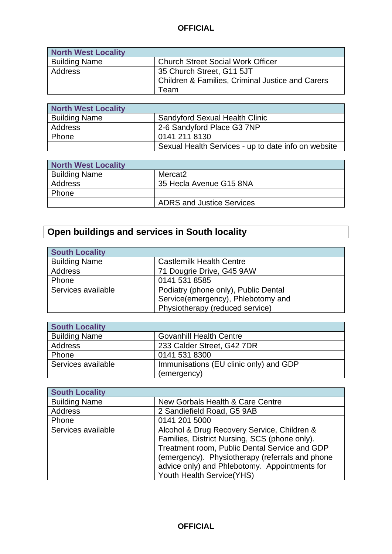| North West Locality  |                                                             |
|----------------------|-------------------------------------------------------------|
| <b>Building Name</b> | <b>Church Street Social Work Officer</b>                    |
| <b>Address</b>       | 35 Church Street, G11 5JT                                   |
|                      | <b>Children &amp; Families, Criminal Justice and Carers</b> |
|                      | Team                                                        |

| North West Locality  |                                                     |
|----------------------|-----------------------------------------------------|
| <b>Building Name</b> | <b>Sandyford Sexual Health Clinic</b>               |
| Address              | 2-6 Sandyford Place G3 7NP                          |
| Phone                | 0141 211 8130                                       |
|                      | Sexual Health Services - up to date info on website |

| <b>North West Locality</b> |                                  |
|----------------------------|----------------------------------|
| <b>Building Name</b>       | Mercat2                          |
| <b>Address</b>             | 35 Hecla Avenue G15 8NA          |
| Phone                      |                                  |
|                            | <b>ADRS and Justice Services</b> |

# **Open buildings and services in South locality**

г

| <b>South Locality</b> |                                      |
|-----------------------|--------------------------------------|
| <b>Building Name</b>  | <b>Castlemilk Health Centre</b>      |
| Address               | 71 Dougrie Drive, G45 9AW            |
| Phone                 | 0141 531 8585                        |
| Services available    | Podiatry (phone only), Public Dental |
|                       | Service(emergency), Phlebotomy and   |
|                       | Physiotherapy (reduced service)      |

| <b>South Locality</b> |                                        |
|-----------------------|----------------------------------------|
| <b>Building Name</b>  | <b>Govanhill Health Centre</b>         |
| Address               | 233 Calder Street, G42 7DR             |
| Phone                 | 0141 531 8300                          |
| Services available    | Immunisations (EU clinic only) and GDP |
|                       | (emergency)                            |

| <b>South Locality</b> |                                                 |
|-----------------------|-------------------------------------------------|
| <b>Building Name</b>  | New Gorbals Health & Care Centre                |
| Address               | 2 Sandiefield Road, G5 9AB                      |
| Phone                 | 0141 201 5000                                   |
| Services available    | Alcohol & Drug Recovery Service, Children &     |
|                       | Families, District Nursing, SCS (phone only).   |
|                       | Treatment room, Public Dental Service and GDP   |
|                       | (emergency). Physiotherapy (referrals and phone |
|                       | advice only) and Phlebotomy. Appointments for   |
|                       | Youth Health Service(YHS)                       |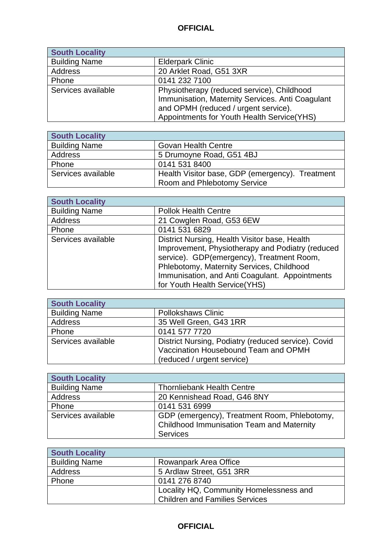| <b>South Locality</b> |                                                                                                                                                                                       |
|-----------------------|---------------------------------------------------------------------------------------------------------------------------------------------------------------------------------------|
| <b>Building Name</b>  | <b>Elderpark Clinic</b>                                                                                                                                                               |
| <b>Address</b>        | 20 Arklet Road, G51 3XR                                                                                                                                                               |
| Phone                 | 0141 232 7100                                                                                                                                                                         |
| Services available    | Physiotherapy (reduced service), Childhood<br>Immunisation, Maternity Services. Anti Coagulant<br>and OPMH (reduced / urgent service).<br>Appointments for Youth Health Service (YHS) |

| <b>South Locality</b> |                                                 |
|-----------------------|-------------------------------------------------|
| <b>Building Name</b>  | <b>Govan Health Centre</b>                      |
| Address               | 5 Drumoyne Road, G51 4BJ                        |
| Phone                 | 0141 531 8400                                   |
| Services available    | Health Visitor base, GDP (emergency). Treatment |
|                       | <b>Room and Phlebotomy Service</b>              |

 $\mathbf{r}$ 

| <b>South Locality</b> |                                                  |
|-----------------------|--------------------------------------------------|
| <b>Building Name</b>  | <b>Pollok Health Centre</b>                      |
| Address               | 21 Cowglen Road, G53 6EW                         |
| Phone                 | 0141 531 6829                                    |
| Services available    | District Nursing, Health Visitor base, Health    |
|                       | Improvement, Physiotherapy and Podiatry (reduced |
|                       | service). GDP(emergency), Treatment Room,        |
|                       | Phlebotomy, Maternity Services, Childhood        |
|                       | Immunisation, and Anti Coagulant. Appointments   |
|                       | for Youth Health Service (YHS)                   |

| <b>South Locality</b> |                                                     |
|-----------------------|-----------------------------------------------------|
| <b>Building Name</b>  | <b>Pollokshaws Clinic</b>                           |
| Address               | 35 Well Green, G43 1RR                              |
| Phone                 | 0141 577 7720                                       |
| Services available    | District Nursing, Podiatry (reduced service). Covid |
|                       | Vaccination Housebound Team and OPMH                |
|                       | (reduced / urgent service)                          |

| <b>South Locality</b> |                                                  |
|-----------------------|--------------------------------------------------|
| <b>Building Name</b>  | <b>Thornliebank Health Centre</b>                |
| Address               | 20 Kennishead Road, G46 8NY                      |
| Phone                 | 0141 531 6999                                    |
| Services available    | GDP (emergency), Treatment Room, Phlebotomy,     |
|                       | <b>Childhood Immunisation Team and Maternity</b> |
|                       | <b>Services</b>                                  |

| <b>South Locality</b> |                                         |
|-----------------------|-----------------------------------------|
| <b>Building Name</b>  | Rowanpark Area Office                   |
| Address               | 5 Ardlaw Street, G51 3RR                |
| Phone                 | 0141 276 8740                           |
|                       | Locality HQ, Community Homelessness and |
|                       | <b>Children and Families Services</b>   |